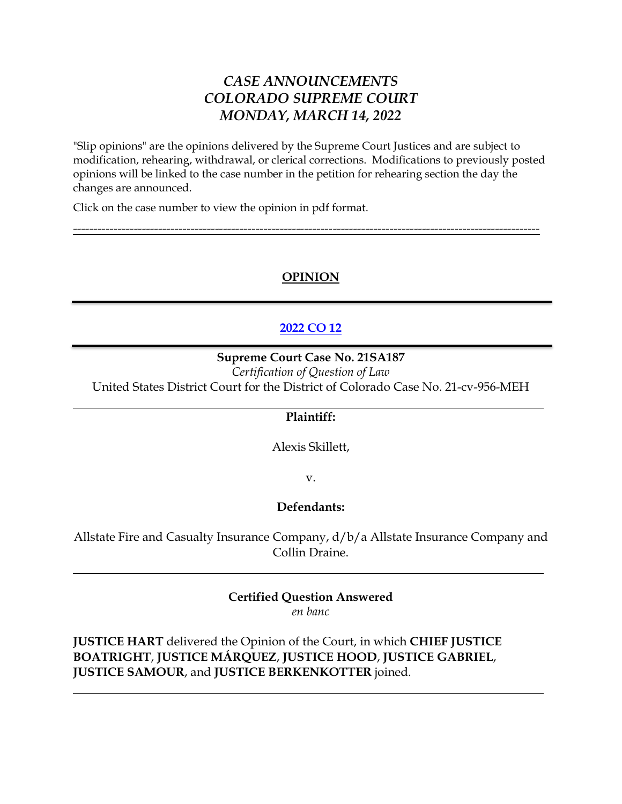# *CASE ANNOUNCEMENTS COLORADO SUPREME COURT MONDAY, MARCH 14, 2022*

"Slip opinions" are the opinions delivered by the Supreme Court Justices and are subject to modification, rehearing, withdrawal, or clerical corrections. Modifications to previously posted opinions will be linked to the case number in the petition for rehearing section the day the changes are announced.

Click on the case number to view the opinion in pdf format.

## **OPINION**

-------------------------------------------------------------------------------------------------------------------

## **[2022 CO 12](https://www.courts.state.co.us/userfiles/file/Court_Probation/Supreme_Court/Opinions/2021/21SA187.pdf)**

### **Supreme Court Case No. 21SA187**

*Certification of Question of Law* United States District Court for the District of Colorado Case No. 21-cv-956-MEH

### **Plaintiff:**

Alexis Skillett,

v.

## **Defendants:**

Allstate Fire and Casualty Insurance Company, d/b/a Allstate Insurance Company and Collin Draine.

## **Certified Question Answered**

*en banc*

**JUSTICE HART** delivered the Opinion of the Court, in which **CHIEF JUSTICE BOATRIGHT**, **JUSTICE MÁRQUEZ**, **JUSTICE HOOD**, **JUSTICE GABRIEL**, **JUSTICE SAMOUR**, and **JUSTICE BERKENKOTTER** joined.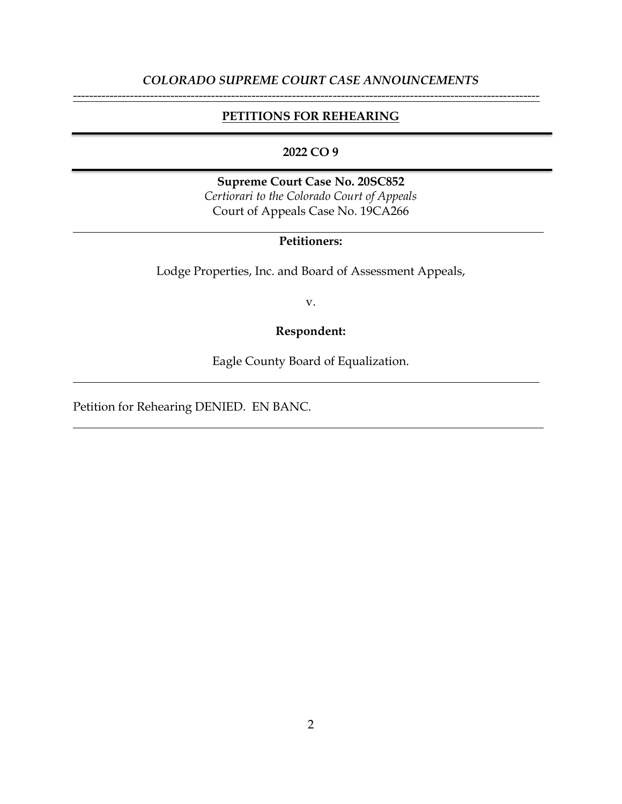## *COLORADO SUPREME COURT CASE ANNOUNCEMENTS* -------------------------------------------------------------------------------------------------------------------

### **PETITIONS FOR REHEARING**

### **2022 CO 9**

**Supreme Court Case No. 20SC852** *Certiorari to the Colorado Court of Appeals* Court of Appeals Case No. 19CA266

## **Petitioners:**

Lodge Properties, Inc. and Board of Assessment Appeals,

v.

## **Respondent:**

Eagle County Board of Equalization.

Petition for Rehearing DENIED. EN BANC.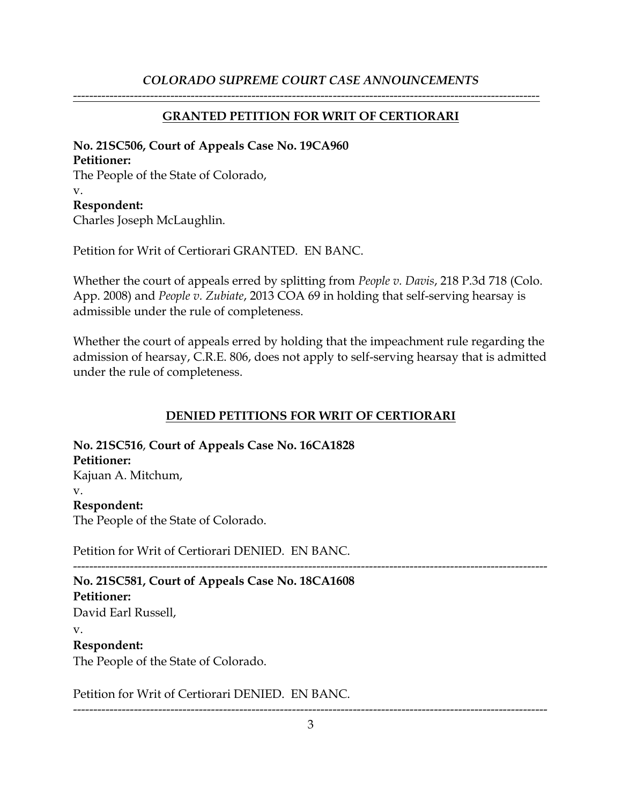## *COLORADO SUPREME COURT CASE ANNOUNCEMENTS*

## **GRANTED PETITION FOR WRIT OF CERTIORARI**

-------------------------------------------------------------------------------------------------------------------

## **No. 21SC506, Court of Appeals Case No. 19CA960 Petitioner:** The People of the State of Colorado, v. **Respondent:** Charles Joseph McLaughlin.

Petition for Writ of Certiorari GRANTED. EN BANC.

Whether the court of appeals erred by splitting from *People v. Davis*, 218 P.3d 718 (Colo. App. 2008) and *People v. Zubiate*, 2013 COA 69 in holding that self-serving hearsay is admissible under the rule of completeness.

Whether the court of appeals erred by holding that the impeachment rule regarding the admission of hearsay, C.R.E. 806, does not apply to self-serving hearsay that is admitted under the rule of completeness.

## **DENIED PETITIONS FOR WRIT OF CERTIORARI**

**No. 21SC516**, **Court of Appeals Case No. 16CA1828 Petitioner:** Kajuan A. Mitchum, v. **Respondent:** The People of the State of Colorado.

Petition for Writ of Certiorari DENIED. EN BANC.

--------------------------------------------------------------------------------------------------------------------- **No. 21SC581, Court of Appeals Case No. 18CA1608 Petitioner:** David Earl Russell, v. **Respondent:** The People of the State of Colorado.

Petition for Writ of Certiorari DENIED. EN BANC.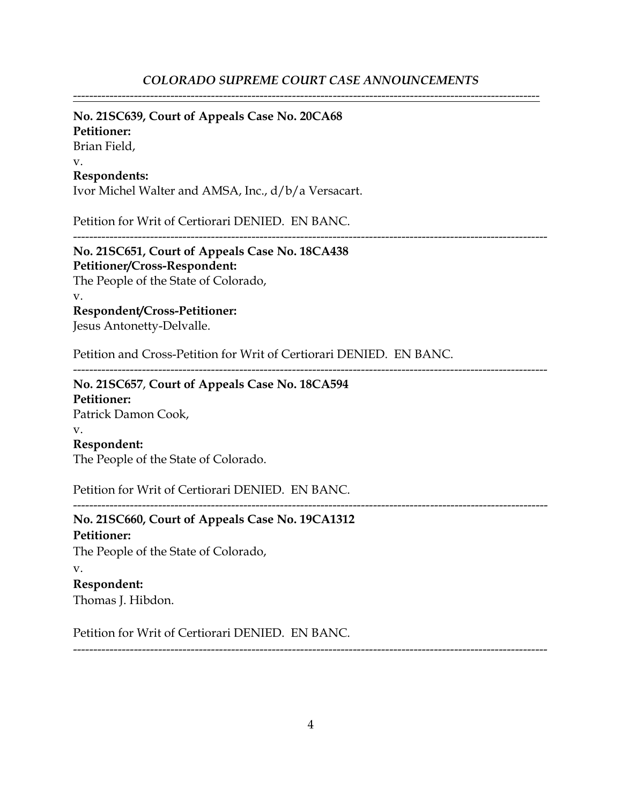### *COLORADO SUPREME COURT CASE ANNOUNCEMENTS*

-------------------------------------------------------------------------------------------------------------------

### **No. 21SC639, Court of Appeals Case No. 20CA68**

**Petitioner:**

Brian Field,

v.

#### **Respondents:**

Ivor Michel Walter and AMSA, Inc., d/b/a Versacart.

Petition for Writ of Certiorari DENIED. EN BANC.

---------------------------------------------------------------------------------------------------------------------

**No. 21SC651, Court of Appeals Case No. 18CA438 Petitioner/Cross-Respondent:** The People of the State of Colorado, v.

### **Respondent/Cross-Petitioner:**

Jesus Antonetty-Delvalle.

Petition and Cross-Petition for Writ of Certiorari DENIED. EN BANC.

---------------------------------------------------------------------------------------------------------------------

**No. 21SC657**, **Court of Appeals Case No. 18CA594 Petitioner:** Patrick Damon Cook, v. **Respondent:** The People of the State of Colorado.

Petition for Writ of Certiorari DENIED. EN BANC.

**No. 21SC660, Court of Appeals Case No. 19CA1312 Petitioner:** The People of the State of Colorado, v. **Respondent:** Thomas J. Hibdon.

Petition for Writ of Certiorari DENIED. EN BANC.

---------------------------------------------------------------------------------------------------------------------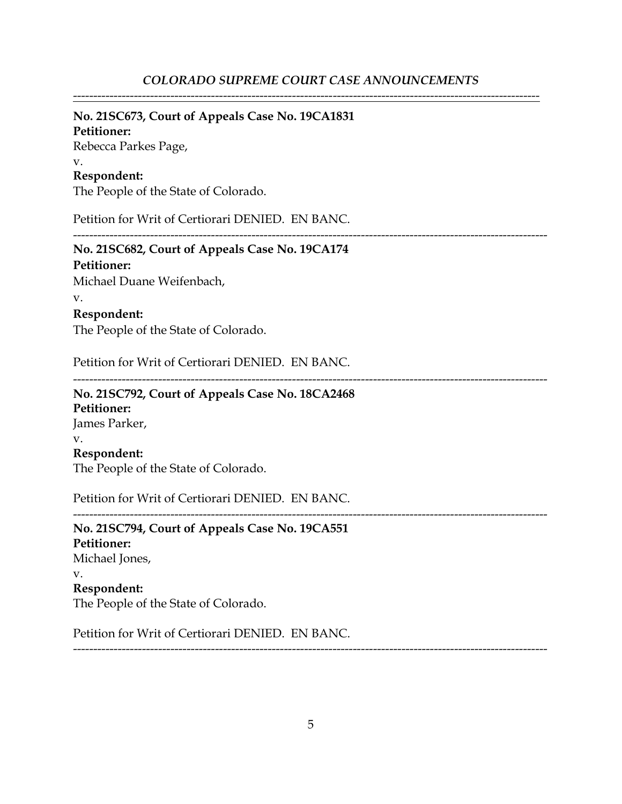-------------------------------------------------------------------------------------------------------------------

### **No. 21SC673, Court of Appeals Case No. 19CA1831**

**Petitioner:** Rebecca Parkes Page, v. **Respondent:**

The People of the State of Colorado.

Petition for Writ of Certiorari DENIED. EN BANC.

---------------------------------------------------------------------------------------------------------------------

### **No. 21SC682, Court of Appeals Case No. 19CA174 Petitioner:**

Michael Duane Weifenbach,

#### v.

### **Respondent:**

The People of the State of Colorado.

Petition for Writ of Certiorari DENIED. EN BANC.

---------------------------------------------------------------------------------------------------------------------

### **No. 21SC792, Court of Appeals Case No. 18CA2468**

**Petitioner:** James Parker, v. **Respondent:** The People of the State of Colorado.

Petition for Writ of Certiorari DENIED. EN BANC.

---------------------------------------------------------------------------------------------------------------------

**No. 21SC794, Court of Appeals Case No. 19CA551 Petitioner:** Michael Jones, v. **Respondent:** The People of the State of Colorado.

Petition for Writ of Certiorari DENIED. EN BANC.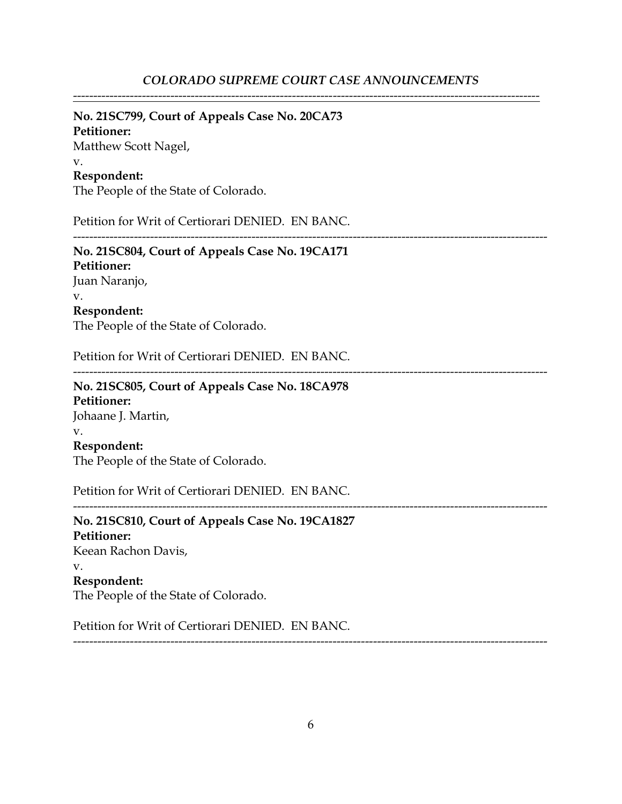-------------------------------------------------------------------------------------------------------------------

### **No. 21SC799, Court of Appeals Case No. 20CA73**

**Petitioner:** Matthew Scott Nagel, v. **Respondent:**

The People of the State of Colorado.

Petition for Writ of Certiorari DENIED. EN BANC.

---------------------------------------------------------------------------------------------------------------------

**No. 21SC804, Court of Appeals Case No. 19CA171 Petitioner:** Juan Naranjo, v. **Respondent:** The People of the State of Colorado.

Petition for Writ of Certiorari DENIED. EN BANC.

---------------------------------------------------------------------------------------------------------------------

**No. 21SC805, Court of Appeals Case No. 18CA978 Petitioner:** Johaane J. Martin, v. **Respondent:** The People of the State of Colorado.

Petition for Writ of Certiorari DENIED. EN BANC.

**No. 21SC810, Court of Appeals Case No. 19CA1827 Petitioner:** Keean Rachon Davis, v. **Respondent:** The People of the State of Colorado.

Petition for Writ of Certiorari DENIED. EN BANC.